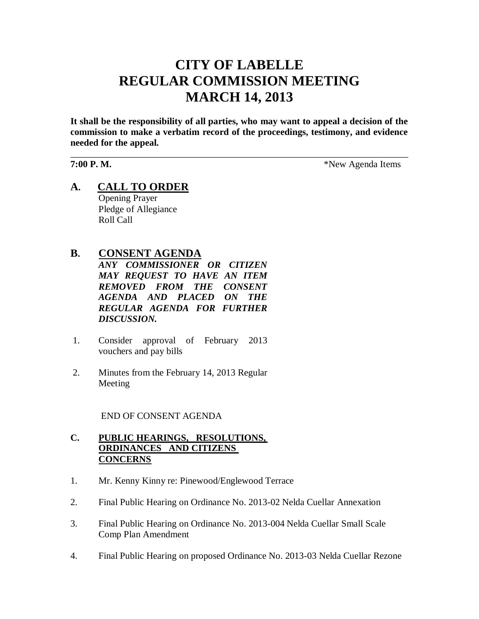# **CITY OF LABELLE REGULAR COMMISSION MEETING MARCH 14, 2013**

**It shall be the responsibility of all parties, who may want to appeal a decision of the commission to make a verbatim record of the proceedings, testimony, and evidence needed for the appeal.**

\_\_\_\_\_\_\_\_\_\_\_\_\_\_\_\_\_\_\_\_\_\_\_\_\_\_\_\_\_\_\_\_\_\_\_\_\_\_\_\_\_\_\_\_\_\_\_\_\_\_\_\_\_\_\_\_\_\_\_\_\_\_\_\_\_\_\_\_\_\_\_\_

**7:00 P. M.**  $*$ New Agenda Items

**A. CALL TO ORDER** Opening Prayer Pledge of Allegiance Roll Call

# **B. CONSENT AGENDA**

*ANY COMMISSIONER OR CITIZEN MAY REQUEST TO HAVE AN ITEM REMOVED FROM THE CONSENT AGENDA AND PLACED ON THE REGULAR AGENDA FOR FURTHER DISCUSSION.*

- 1. Consider approval of February 2013 vouchers and pay bills
- 2. Minutes from the February 14, 2013 Regular Meeting

END OF CONSENT AGENDA

# **C. PUBLIC HEARINGS, RESOLUTIONS, ORDINANCES AND CITIZENS CONCERNS**

- 1. Mr. Kenny Kinny re: Pinewood/Englewood Terrace
- 2. Final Public Hearing on Ordinance No. 2013-02 Nelda Cuellar Annexation
- 3. Final Public Hearing on Ordinance No. 2013-004 Nelda Cuellar Small Scale Comp Plan Amendment
- 4. Final Public Hearing on proposed Ordinance No. 2013-03 Nelda Cuellar Rezone